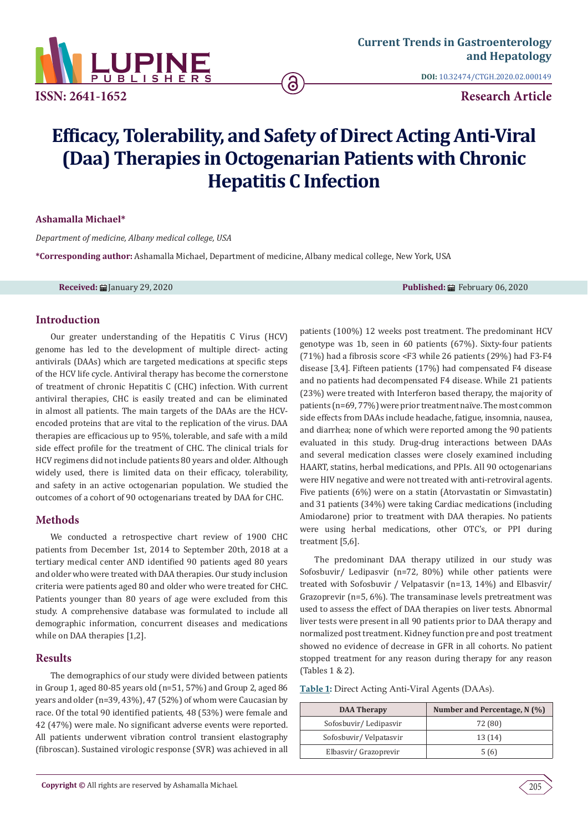

**DOI:** [10.32474/CTGH.2020.02.000149](http://dx.doi.org/10.32474/CTGH.2020.02.000149)

**Research Article**

# **Efficacy, Tolerability, and Safety of Direct Acting Anti-Viral (Daa) Therapies in Octogenarian Patients with Chronic Hepatitis C Infection**

ဥ

**Ashamalla Michael\***

*Department of medicine, Albany medical college, USA*

**\*Corresponding author:** Ashamalla Michael, Department of medicine, Albany medical college, New York, USA

**Received:** January 29, 2020 **Published:** February 06, 2020

#### **Introduction**

Our greater understanding of the Hepatitis C Virus (HCV) genome has led to the development of multiple direct- acting antivirals (DAAs) which are targeted medications at specific steps of the HCV life cycle. Antiviral therapy has become the cornerstone of treatment of chronic Hepatitis C (CHC) infection. With current antiviral therapies, CHC is easily treated and can be eliminated in almost all patients. The main targets of the DAAs are the HCVencoded proteins that are vital to the replication of the virus. DAA therapies are efficacious up to 95%, tolerable, and safe with a mild side effect profile for the treatment of CHC. The clinical trials for HCV regimens did not include patients 80 years and older. Although widely used, there is limited data on their efficacy, tolerability, and safety in an active octogenarian population. We studied the outcomes of a cohort of 90 octogenarians treated by DAA for CHC.

## **Methods**

We conducted a retrospective chart review of 1900 CHC patients from December 1st, 2014 to September 20th, 2018 at a tertiary medical center AND identified 90 patients aged 80 years and older who were treated with DAA therapies. Our study inclusion criteria were patients aged 80 and older who were treated for CHC. Patients younger than 80 years of age were excluded from this study. A comprehensive database was formulated to include all demographic information, concurrent diseases and medications while on DAA therapies [1,2].

## **Results**

The demographics of our study were divided between patients in Group 1, aged 80-85 years old (n=51, 57%) and Group 2, aged 86 years and older (n=39, 43%), 47 (52%) of whom were Caucasian by race. Of the total 90 identified patients, 48 (53%) were female and 42 (47%) were male. No significant adverse events were reported. All patients underwent vibration control transient elastography (fibroscan). Sustained virologic response (SVR) was achieved in all

patients (100%) 12 weeks post treatment. The predominant HCV genotype was 1b, seen in 60 patients (67%). Sixty-four patients (71%) had a fibrosis score <F3 while 26 patients (29%) had F3-F4 disease [3,4]. Fifteen patients (17%) had compensated F4 disease and no patients had decompensated F4 disease. While 21 patients (23%) were treated with Interferon based therapy, the majority of patients (n=69, 77%) were prior treatment naïve. The most common side effects from DAAs include headache, fatigue, insomnia, nausea, and diarrhea; none of which were reported among the 90 patients evaluated in this study. Drug-drug interactions between DAAs and several medication classes were closely examined including HAART, statins, herbal medications, and PPIs. All 90 octogenarians were HIV negative and were not treated with anti-retroviral agents. Five patients (6%) were on a statin (Atorvastatin or Simvastatin) and 31 patients (34%) were taking Cardiac medications (including Amiodarone) prior to treatment with DAA therapies. No patients were using herbal medications, other OTC's, or PPI during treatment [5,6].

The predominant DAA therapy utilized in our study was Sofosbuvir/ Ledipasvir (n=72, 80%) while other patients were treated with Sofosbuvir / Velpatasvir (n=13, 14%) and Elbasvir/ Grazoprevir (n=5, 6%). The transaminase levels pretreatment was used to assess the effect of DAA therapies on liver tests. Abnormal liver tests were present in all 90 patients prior to DAA therapy and normalized post treatment. Kidney function pre and post treatment showed no evidence of decrease in GFR in all cohorts. No patient stopped treatment for any reason during therapy for any reason (Tables 1 & 2).

**Table 1:** Direct Acting Anti-Viral Agents (DAAs).

| <b>DAA Therapy</b>     | Number and Percentage, $N(\%)$ |
|------------------------|--------------------------------|
| Sofosbuvir/Ledipasvir  | 72 (80)                        |
| Sofosbuvir/Velpatasvir | 13(14)                         |
| Elbasvir/ Grazoprevir  | 5(6)                           |